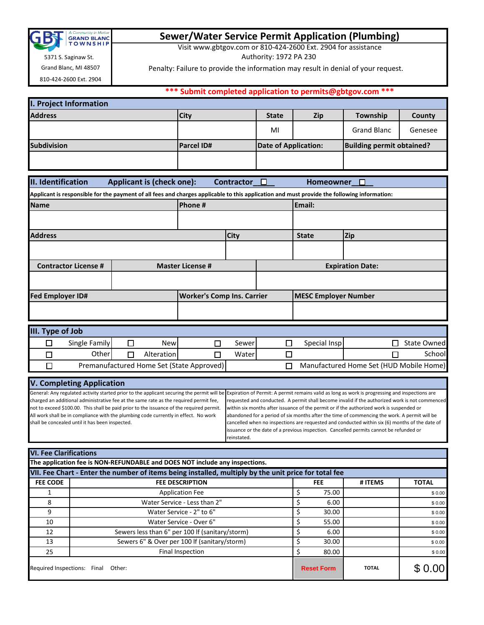

# **Sewer/Water Service Permit Application (Plumbing)**

Visit www.gbtgov.com or 810-424-2600 Ext. 2904 for assistance

Authority: 1972 PA 230

Penalty: Failure to provide the information may result in denial of your request.

Grand Blanc, MI 48507 810-424-2600 Ext. 2904

5371 S. Saginaw St.

| *** Submit completed application to permits@gbtgov.com *** |  |
|------------------------------------------------------------|--|
|                                                            |  |
|                                                            |  |

| <b>I. Project Information</b> |                   |                      |     |                                  |         |
|-------------------------------|-------------------|----------------------|-----|----------------------------------|---------|
| <b>Address</b>                | <b>City</b>       | <b>State</b>         | Zip | Township                         | County  |
|                               |                   | MI                   |     | <b>Grand Blanc</b>               | Genesee |
| <b>Subdivision</b>            | <b>Parcel ID#</b> | Date of Application: |     | <b>Building permit obtained?</b> |         |
|                               |                   |                      |     |                                  |         |

| II. Identification                                                                                                                          |   | <b>Applicant is (check one):</b> |                                           | Contractor $\square$ |                         | Homeowner                   |                                         |  |
|---------------------------------------------------------------------------------------------------------------------------------------------|---|----------------------------------|-------------------------------------------|----------------------|-------------------------|-----------------------------|-----------------------------------------|--|
| Applicant is responsible for the payment of all fees and charges applicable to this application and must provide the following information: |   |                                  |                                           |                      |                         |                             |                                         |  |
| <b>Name</b>                                                                                                                                 |   |                                  | Phone #                                   |                      |                         | Email:                      |                                         |  |
|                                                                                                                                             |   |                                  |                                           |                      |                         |                             |                                         |  |
| <b>Address</b>                                                                                                                              |   |                                  | <b>City</b>                               |                      | <b>State</b>            | Zip                         |                                         |  |
|                                                                                                                                             |   |                                  |                                           |                      |                         |                             |                                         |  |
| <b>Contractor License #</b>                                                                                                                 |   |                                  | <b>Master License #</b>                   |                      | <b>Expiration Date:</b> |                             |                                         |  |
|                                                                                                                                             |   |                                  |                                           |                      |                         |                             |                                         |  |
| <b>Fed Employer ID#</b>                                                                                                                     |   |                                  | <b>Worker's Comp Ins. Carrier</b>         |                      |                         | <b>MESC Employer Number</b> |                                         |  |
|                                                                                                                                             |   |                                  |                                           |                      |                         |                             |                                         |  |
| III. Type of Job                                                                                                                            |   |                                  |                                           |                      |                         |                             |                                         |  |
| Single Family<br>□                                                                                                                          | п | <b>New</b>                       | П                                         | Sewer                | □                       | Special Insp                | <b>State Owned</b><br>П                 |  |
| Other<br>П                                                                                                                                  | П | Alteration                       | П                                         | Waterl               | П                       |                             | School<br>П                             |  |
| ┐                                                                                                                                           |   |                                  | Premanufactured Home Set (State Approved) |                      | П                       |                             | Manufactured Home Set (HUD Mobile Home) |  |

## **V. Completing Application**

General: Any regulated activity started prior to the applicant securing the permit will be charged an additional administrative fee at the same rate as the required permit fee, not to exceed \$100.00. This shall be paid prior to the issuance of the required permit. All work shall be in compliance with the plumbing code currently in effect. No work shall be concealed until it has been inspected.

Expiration of Permit: A permit remains valid as long as work is progressing and inspections are requested and conducted. A permit shall become invalid if the authorized work is not commenced within six months after issuance of the permit or if the authorized work is suspended or abandoned for a period of six months after the time of commencing the work. A permit will be cancelled when no inspections are requested and conducted within six (6) months of the date of issuance or the date of a previous inspection. Cancelled permits cannot be refunded or reinstated.

### **VI. Fee Clarifications**

| The application fee is NON-REFUNDABLE and DOES NOT include any inspections.                          |                                                 |  |                   |              |              |  |
|------------------------------------------------------------------------------------------------------|-------------------------------------------------|--|-------------------|--------------|--------------|--|
| VII. Fee Chart - Enter the number of items being installed, multiply by the unit price for total fee |                                                 |  |                   |              |              |  |
| <b>FEE CODE</b>                                                                                      | <b>FEE DESCRIPTION</b>                          |  | FEE.              | # ITEMS      | <b>TOTAL</b> |  |
|                                                                                                      | <b>Application Fee</b>                          |  | 75.00             |              | \$0.00       |  |
| 8                                                                                                    | Water Service - Less than 2"                    |  | 6.00              |              | \$0.00       |  |
| 9                                                                                                    | Water Service - 2" to 6"                        |  | 30.00             |              | \$0.00       |  |
| 10                                                                                                   | Water Service - Over 6"                         |  | 55.00             |              | \$0.00       |  |
| 12                                                                                                   | Sewers less than 6" per 100 If (sanitary/storm) |  | 6.00              |              | \$0.00       |  |
| 13                                                                                                   | Sewers 6" & Over per 100 If (sanitary/storm)    |  | 30.00             |              | \$0.00       |  |
| 25                                                                                                   | Final Inspection                                |  | 80.00             |              | \$0.00       |  |
| Required Inspections: Final<br>Other:                                                                |                                                 |  | <b>Reset Form</b> | <b>TOTAL</b> | 0.00         |  |